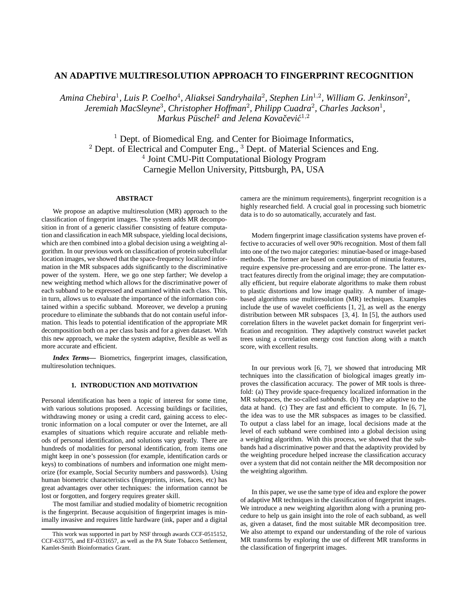# **AN ADAPTIVE MULTIRESOLUTION APPROACH TO FINGERPRINT RECOGNITION**

Amina Chebira<sup>1</sup>, Luis P. Coelho<sup>4</sup>, Aliaksei Sandryhaila<sup>2</sup>, Stephen Lin<sup>1,2</sup>, William G. Jenkinson<sup>2</sup>, *Jeremiah MacSleyne*<sup>3</sup> *, Christopher Hoffman*<sup>2</sup> *, Philipp Cuadra*<sup>2</sup> *, Charles Jackson*<sup>1</sup> *, Markus Puschel ¨* <sup>2</sup> *and Jelena Kovacevi ˇ c´* 1,2

 $<sup>1</sup>$  Dept. of Biomedical Eng. and Center for Bioimage Informatics,</sup> <sup>2</sup> Dept. of Electrical and Computer Eng., <sup>3</sup> Dept. of Material Sciences and Eng. 4 Joint CMU-Pitt Computational Biology Program Carnegie Mellon University, Pittsburgh, PA, USA

## **ABSTRACT**

We propose an adaptive multiresolution (MR) approach to the classification of fingerprint images. The system adds MR decomposition in front of a generic classifier consisting of feature computation and classification in each MR subspace, yielding local decisions, which are then combined into a global decision using a weighting algorithm. In our previous work on classification of protein subcellular location images, we showed that the space-frequency localized information in the MR subspaces adds significantly to the discriminative power of the system. Here, we go one step farther; We develop a new weighting method which allows for the discriminative power of each subband to be expressed and examined within each class. This, in turn, allows us to evaluate the importance of the information contained within a specific subband. Moreover, we develop a pruning procedure to eliminate the subbands that do not contain useful information. This leads to potential identification of the appropriate MR decomposition both on a per class basis and for a given dataset. With this new approach, we make the system adaptive, flexible as well as more accurate and efficient.

*Index Terms***—** Biometrics, fingerprint images, classification, multiresolution techniques.

## **1. INTRODUCTION AND MOTIVATION**

Personal identification has been a topic of interest for some time, with various solutions proposed. Accessing buildings or facilities, withdrawing money or using a credit card, gaining access to electronic information on a local computer or over the Internet, are all examples of situations which require accurate and reliable methods of personal identification, and solutions vary greatly. There are hundreds of modalities for personal identification, from items one might keep in one's possession (for example, identification cards or keys) to combinations of numbers and information one might memorize (for example, Social Security numbers and passwords). Using human biometric characteristics (fingerprints, irises, faces, etc) has great advantages over other techniques: the information cannot be lost or forgotten, and forgery requires greater skill.

The most familiar and studied modality of biometric recognition is the fingerprint. Because acquisition of fingerprint images is minimally invasive and requires little hardware (ink, paper and a digital camera are the minimum requirements), fingerprint recognition is a highly researched field. A crucial goal in processing such biometric data is to do so automatically, accurately and fast.

Modern fingerprint image classification systems have proven effective to accuracies of well over 90% recognition. Most of them fall into one of the two major categories: minutiae-based or image-based methods. The former are based on computation of minutia features, require expensive pre-processing and are error-prone. The latter extract features directly from the original image; they are computationally efficient, but require elaborate algorithms to make them robust to plastic distortions and low image quality. A number of imagebased algorithms use multiresolution (MR) techniques. Examples include the use of wavelet coefficients [1, 2], as well as the energy distribution between MR subspaces [3, 4]. In [5], the authors used correlation filters in the wavelet packet domain for fingerprint verification and recognition. They adaptively construct wavelet packet trees using a correlation energy cost function along with a match score, with excellent results.

In our previous work [6, 7], we showed that introducing MR techniques into the classification of biological images greatly improves the classification accuracy. The power of MR tools is threefold: (a) They provide space-frequency localized information in the MR subspaces, the so-called *subbands*. (b) They are adaptive to the data at hand. (c) They are fast and efficient to compute. In [6, 7], the idea was to use the MR subspaces as images to be classified. To output a class label for an image, local decisions made at the level of each subband were combined into a global decision using a weighting algorithm. With this process, we showed that the subbands had a discriminative power and that the adaptivity provided by the weighting procedure helped increase the classification accuracy over a system that did not contain neither the MR decomposition nor the weighting algorithm.

In this paper, we use the same type of idea and explore the power of adaptive MR techniques in the classification of fingerprint images. We introduce a new weighting algorithm along with a pruning procedure to help us gain insight into the role of each subband, as well as, given a dataset, find the most suitable MR decomposition tree. We also attempt to expand our understanding of the role of various MR transforms by exploring the use of different MR transforms in the classification of fingerprint images.

This work was supported in part by NSF through awards CCF-0515152, CCF-633775, and EF-0331657, as well as the PA State Tobacco Settlement, Kamlet-Smith Bioinformatics Grant.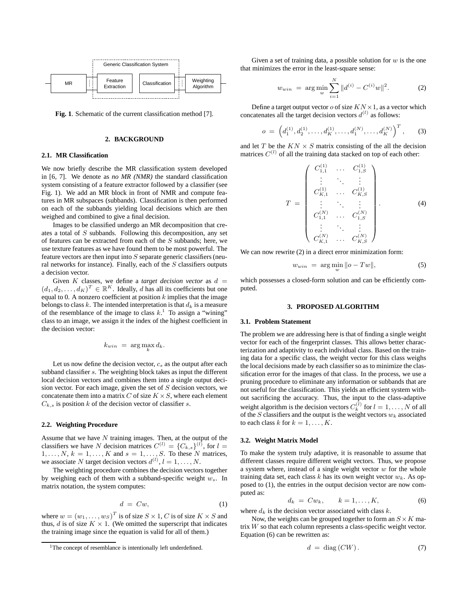

**Fig. 1**. Schematic of the current classification method [7].

## **2. BACKGROUND**

## **2.1. MR Classification**

We now briefly describe the MR classification system developed in [6, 7]. We denote as *no MR (NMR)* the standard classification system consisting of a feature extractor followed by a classifier (see Fig. 1). We add an MR block in front of NMR and compute features in MR subspaces (subbands). Classification is then performed on each of the subbands yielding local decisions which are then weighed and combined to give a final decision.

Images to be classified undergo an MR decomposition that creates a total of S subbands. Following this decomposition, any set of features can be extracted from each of the S subbands; here, we use texture features as we have found them to be most powerful. The feature vectors are then input into  $S$  separate generic classifiers (neural networks for instance). Finally, each of the  $S$  classifiers outputs a decision vector.

Given K classes, we define a *target decision vector* as  $d =$  $(d_1, d_2, \ldots, d_K)^T \in \mathbb{R}^K$ . Ideally, d has all its coefficients but one equal to 0. A nonzero coefficient at position  $k$  implies that the image belongs to class  $k$ . The intended interpretation is that  $d_k$  is a measure of the resemblance of the image to class  $k<sup>1</sup>$ . To assign a "wining" class to an image, we assign it the index of the highest coefficient in the decision vector:

$$
k_{win} = \arg\max_{k} d_k.
$$

Let us now define the decision vector,  $c_s$  as the output after each subband classifier  $s$ . The weighting block takes as input the different local decision vectors and combines them into a single output decision vector. For each image, given the set of  $S$  decision vectors, we concatenate them into a matrix C of size  $K \times S$ , where each element  $C_{k,s}$  is position k of the decision vector of classifier s.

### **2.2. Weighting Procedure**

Assume that we have  $N$  training images. Then, at the output of the classifiers we have N decision matrices  $C^{(l)} = \{C_{k,s}\}^{(l)}$ , for  $l =$  $1, \ldots, N$ ,  $k = 1, \ldots, K$  and  $s = 1, \ldots, S$ . To these N matrices, we associate N target decision vectors  $d^{(l)}$ ,  $l = 1, \ldots, N$ .

The weighting procedure combines the decision vectors together by weighing each of them with a subband-specific weight  $w_s$ . In matrix notation, the system computes:

$$
d = Cw,\tag{1}
$$

where  $w = (w_1, \dots, w_S)^T$  is of size  $S \times 1$ , C is of size  $K \times S$  and thus, d is of size  $K \times 1$ . (We omitted the superscript that indicates the training image since the equation is valid for all of them.)

Given a set of training data, a possible solution for  $w$  is the one that minimizes the error in the least-square sense:

$$
w_{win} = \arg\min_{w} \sum_{i=1}^{N} ||d^{(i)} - C^{(i)}w||^2.
$$
 (2)

Define a target output vector  $o$  of size  $KN \times 1$ , as a vector which concatenates all the target decision vectors  $d^{(l)}$  as follows:

$$
o = \left(d_1^{(1)}, d_2^{(1)}, \dots, d_K^{(1)}, \dots, d_1^{(N)}, \dots, d_K^{(N)}\right)^T, \tag{3}
$$

and let  $T$  be the  $KN \times S$  matrix consisting of the all the decision matrices  $C^{(l)}$  of all the training data stacked on top of each other:

$$
T = \begin{pmatrix} C_{1,1}^{(1)} & \dots & C_{1,S}^{(1)} \\ \vdots & \ddots & \vdots \\ C_{K,1}^{(1)} & \dots & C_{K,S}^{(1)} \\ \vdots & \ddots & \vdots \\ C_{1,1}^{(N)} & \dots & C_{1,S}^{(N)} \\ \vdots & \ddots & \vdots \\ C_{K,1}^{(N)} & \dots & C_{K,S}^{(N)} \end{pmatrix}
$$
 (4)

We can now rewrite  $(2)$  in a direct error minimization form:

$$
w_{win} = \arg\min_{w} \|o - Tw\|,\tag{5}
$$

which possesses a closed-form solution and can be efficiently computed.

## **3. PROPOSED ALGORITHM**

#### **3.1. Problem Statement**

The problem we are addressing here is that of finding a single weight vector for each of the fingerprint classes. This allows better characterization and adaptivity to each individual class. Based on the training data for a specific class, the weight vector for this class weighs the local decisions made by each classifier so as to minimize the classification error for the images of that class. In the process, we use a pruning procedure to eliminate any information or subbands that are not useful for the classification. This yields an efficient system without sacrificing the accuracy. Thus, the input to the class-adaptive weight algorithm is the decision vectors  $C_k^{(l)}$  for  $l = 1, ..., N$  of all of the S classifiers and the output is the weight vectors  $w_k$  associated to each class k for  $k = 1, \ldots, K$ .

## **3.2. Weight Matrix Model**

To make the system truly adaptive, it is reasonable to assume that different classes require different weight vectors. Thus, we propose a system where, instead of a single weight vector  $w$  for the whole training data set, each class k has its own weight vector  $w_k$ . As opposed to (1), the entries in the output decision vector are now computed as:

$$
d_k = C w_k, \qquad k = 1, \dots, K,\tag{6}
$$

where  $d_k$  is the decision vector associated with class  $k$ .

Now, the weights can be grouped together to form an  $S \times K$  matrix W so that each column represents a class-specific weight vector. Equation (6) can be rewritten as:

$$
d = \text{diag}(CW). \tag{7}
$$

 $1$ The concept of resemblance is intentionally left underdefined.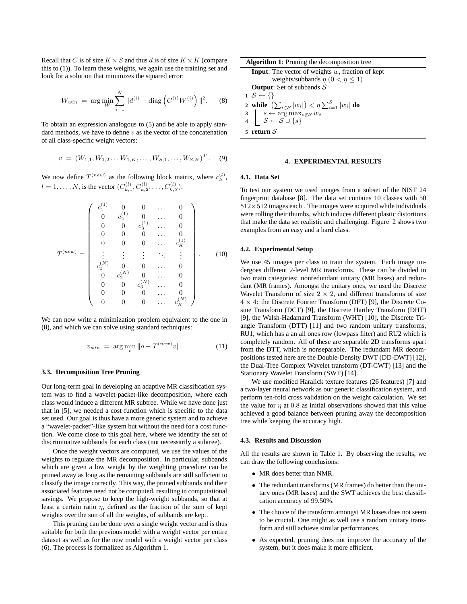Recall that C is of size  $K \times S$  and thus d is of size  $K \times K$  (compare this to (1)). To learn these weights, we again use the training set and look for a solution that minimizes the squared error:

$$
W_{win} = \arg\min_{W} \sum_{i=1}^{N} \|d^{(i)} - \text{diag}\left(C^{(i)}W^{(i)}\right)\|^2. \quad (8)
$$

To obtain an expression analogous to (5) and be able to apply standard methods, we have to define  $v$  as the vector of the concatenation of all class-specific weight vectors:

$$
v = (W_{1,1}, W_{1,2} \dots W_{1,K}, \dots, W_{S,1}, \dots, W_{S,K})^{T}.
$$
 (9)

We now define  $T^{(new)}$  as the following block matrix, where  $c_k^{(l)}$ ,  $l = 1, \dots, N$ , is the vector  $(C_{k,1}^{(l)}, C_{k,2}^{(l)}, \dots, C_{k,S}^{(l)})$ :

$$
T^{(new)} = \left(\begin{array}{ccccc} c_1^{(1)} & 0 & 0 & \dots & 0 \\ 0 & c_2^{(1)} & 0 & \dots & 0 \\ 0 & 0 & c_3^{(1)} & \dots & 0 \\ 0 & 0 & 0 & \dots & 0 \\ 0 & 0 & 0 & \dots & c_K^{(1)} \\ \vdots & \vdots & \vdots & \ddots & \vdots \\ c_1^{(N)} & 0 & 0 & \dots & 0 \\ 0 & c_2^{(N)} & 0 & \dots & 0 \\ 0 & 0 & c_3^{(N)} & \dots & 0 \\ 0 & 0 & 0 & \dots & c_K^{(N)} \end{array}\right).
$$
(10)

We can now write a minimization problem equivalent to the one in (8), and which we can solve using standard techniques:

$$
v_{win} = \arg\min_{v} \|o - T^{(new)}v\|.
$$
 (11)

### **3.3. Decomposition Tree Pruning**

Our long-term goal in developing an adaptive MR classification system was to find a wavelet-packet-like decomposition, where each class would induce a different MR subtree. While we have done just that in [5], we needed a cost function which is specific to the data set used. Our goal is thus have a more generic system and to achieve a "wavelet-packet"-like system but without the need for a cost function. We come close to this goal here, where we identify the set of discriminative subbands for each class (not necessarily a subtree).

Once the weight vectors are computed, we use the values of the weights to regulate the MR decomposition. In particular, subbands which are given a low weight by the weighting procedure can be pruned away as long as the remaining subbands are still sufficient to classify the image correctly. This way, the pruned subbands and their associated features need not be computed, resulting in computational savings. We propose to keep the high-weight subbands, so that at least a certain ratio  $\eta$ , defined as the fraction of the sum of kept weights over the sun of all the weights, of subbands are kept.

This pruning can be done over a single weight vector and is thus suitable for both the previous model with a weight vector per entire dataset as well as for the new model with a weight vector per class (6). The process is formalized as Algorithm 1.

| <b>Algorithm 1:</b> Pruning the decomposition tree                                 |
|------------------------------------------------------------------------------------|
| <b>Input:</b> The vector of weights $w$ , fraction of kept                         |
| weights/subbands $\eta$ (0 < $\eta \leq 1$ )                                       |
| <b>Output:</b> Set of subbands $S$                                                 |
| $1 S \leftarrow \{\}$                                                              |
| 2 while $\left(\sum_{i \in S}  w_i \right) < \eta \sum_{i=1}^{S}  w_i $ do         |
|                                                                                    |
| 3<br>$s \leftarrow \arg \max_{s \notin S} w_s$<br>4<br>$S \leftarrow S \cup \{s\}$ |
| 5 return $S$                                                                       |

#### **4. EXPERIMENTAL RESULTS**

### **4.1. Data Set**

To test our system we used images from a subset of the NIST 24 fingerprint database [8]. The data set contains 10 classes with 50  $512\times512$  images each. The images were acquired while individuals were rolling their thumbs, which induces different plastic distortions that make the data set realistic and challenging. Figure 2 shows two examples from an easy and a hard class.

### **4.2. Experimental Setup**

We use 45 images per class to train the system. Each image undergoes different 2-level MR transforms. These can be divided in two main categories: nonredundant unitary (MR bases) and redundant (MR frames). Amongst the unitary ones, we used the Discrete Wavelet Transform of size  $2 \times 2$ , and different transforms of size  $4 \times 4$ : the Discrete Fourier Transform (DFT) [9], the Discrete Cosine Transform (DCT) [9], the Discrete Hartley Transform (DHT) [9], the Walsh-Hadamard Transform (WHT) [10], the Discrete Triangle Transform (DTT) [11] and two random unitary transforms, RU1, which has a an all ones row (lowpass filter) and RU2 which is completely random. All of these are separable 2D transforms apart from the DTT, which is nonseparable. The redundant MR decompositions tested here are the Double-Density DWT (DD-DWT) [12], the Dual-Tree Complex Wavelet transform (DT-CWT) [13] and the Stationary Wavelet Transform (SWT) [14].

We use modified Haralick texture features (26 features) [7] and a two-layer neural network as our generic classification system, and perform ten-fold cross validation on the weight calculation. We set the value for  $\eta$  at 0.8 as initial observations showed that this value achieved a good balance between pruning away the decomposition tree while keeping the accuracy high.

### **4.3. Results and Discussion**

All the results are shown in Table 1. By observing the results, we can draw the following conclusions:

- MR does better than NMR.
- The redundant transforms (MR frames) do better than the unitary ones (MR bases) and the SWT achieves the best classification accuracy of 99.50%.
- The choice of the transform amongst MR bases does not seem to be crucial. One might as well use a random unitary transform and still achieve similar performances.
- As expected, pruning does not improve the accuracy of the system, but it does make it more efficient.